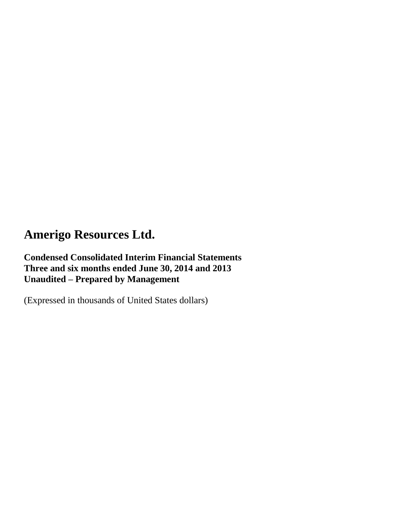## **Condensed Consolidated Interim Financial Statements Three and six months ended June 30, 2014 and 2013 Unaudited – Prepared by Management**

(Expressed in thousands of United States dollars)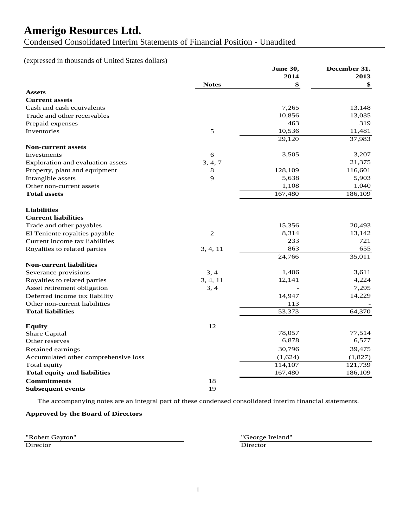Condensed Consolidated Interim Statements of Financial Position - Unaudited

### (expressed in thousands of United States dollars)

|                                      |                | June 30, | December 31, |
|--------------------------------------|----------------|----------|--------------|
|                                      |                | 2014     | 2013         |
|                                      | <b>Notes</b>   | \$       | \$           |
| <b>Assets</b>                        |                |          |              |
| <b>Current assets</b>                |                |          |              |
| Cash and cash equivalents            |                | 7,265    | 13,148       |
| Trade and other receivables          |                | 10,856   | 13,035       |
| Prepaid expenses                     |                | 463      | 319          |
| Inventories                          | 5              | 10,536   | 11,481       |
|                                      |                | 29,120   | 37,983       |
| <b>Non-current assets</b>            |                |          |              |
| Investments                          | 6              | 3,505    | 3,207        |
| Exploration and evaluation assets    | 3, 4, 7        |          | 21,375       |
| Property, plant and equipment        | $8\,$          | 128,109  | 116,601      |
| Intangible assets                    | 9              | 5,638    | 5,903        |
| Other non-current assets             |                | 1,108    | 1,040        |
| <b>Total assets</b>                  |                | 167,480  | 186,109      |
|                                      |                |          |              |
| <b>Liabilities</b>                   |                |          |              |
| <b>Current liabilities</b>           |                |          |              |
| Trade and other payables             |                | 15,356   | 20,493       |
| El Teniente royalties payable        | $\overline{2}$ | 8,314    | 13,142       |
| Current income tax liabilities       |                | 233      | 721          |
| Royalties to related parties         | 3, 4, 11       | 863      | 655          |
|                                      |                | 24,766   | 35,011       |
| <b>Non-current liabilities</b>       |                |          |              |
| Severance provisions                 | 3, 4           | 1,406    | 3,611        |
| Royalties to related parties         | 3, 4, 11       | 12,141   | 4,224        |
| Asset retirement obligation          | 3, 4           |          | 7,295        |
| Deferred income tax liability        |                | 14,947   | 14,229       |
| Other non-current liabilities        |                | 113      |              |
| <b>Total liabilities</b>             |                | 53,373   | 64,370       |
|                                      |                |          |              |
| <b>Equity</b>                        | 12             |          |              |
| Share Capital                        |                | 78,057   | 77,514       |
| Other reserves                       |                | 6,878    | 6,577        |
| Retained earnings                    |                | 30,796   | 39,475       |
| Accumulated other comprehensive loss |                | (1,624)  | (1,827)      |
| Total equity                         |                | 114,107  | 121,739      |
| <b>Total equity and liabilities</b>  |                | 167,480  | 186,109      |
| <b>Commitments</b>                   | 18             |          |              |
| <b>Subsequent events</b>             | 19             |          |              |

The accompanying notes are an integral part of these condensed consolidated interim financial statements.

### **Approved by the Board of Directors**

Director Director Director

"Robert Gayton" "George Ireland"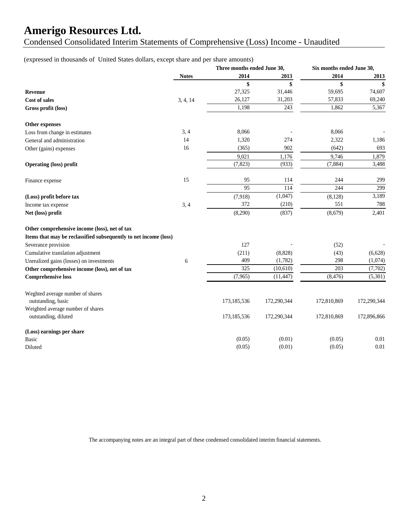Condensed Consolidated Interim Statements of Comprehensive (Loss) Income - Unaudited

(expressed in thousands of United States dollars, except share and per share amounts)

|                                                                  |              | Three months ended June 30, |             | Six months ended June 30, |             |
|------------------------------------------------------------------|--------------|-----------------------------|-------------|---------------------------|-------------|
|                                                                  | <b>Notes</b> | 2014                        | 2013        | 2014                      | 2013        |
|                                                                  |              | \$                          | \$          | \$                        | \$          |
| <b>Revenue</b>                                                   |              | 27,325                      | 31,446      | 59,695                    | 74,607      |
| <b>Cost of sales</b>                                             | 3, 4, 14     | 26,127                      | 31,203      | 57,833                    | 69,240      |
| Gross profit (loss)                                              |              | 1,198                       | 243         | 1,862                     | 5,367       |
| Other expenses                                                   |              |                             |             |                           |             |
| Loss from change in estimates                                    | 3, 4         | 8,066                       |             | 8,066                     |             |
| General and administration                                       | 14           | 1,320                       | 274         | 2,322                     | 1,186       |
| Other (gains) expenses                                           | 16           | (365)                       | 902         | (642)                     | 693         |
|                                                                  |              | 9,021                       | 1,176       | 9,746                     | 1,879       |
| <b>Operating (loss) profit</b>                                   |              | (7, 823)                    | (933)       | (7, 884)                  | 3,488       |
| Finance expense                                                  | 15           | 95                          | 114         | 244                       | 299         |
|                                                                  |              | 95                          | 114         | 244                       | 299         |
| (Loss) profit before tax                                         |              | (7,918)                     | (1,047)     | (8, 128)                  | 3,189       |
| Income tax expense                                               | 3, 4         | 372                         | (210)       | 551                       | 788         |
| Net (loss) profit                                                |              | (8,290)                     | (837)       | (8,679)                   | 2,401       |
| Other comprehensive income (loss), net of tax                    |              |                             |             |                           |             |
| Items that may be reclassified subsequently to net income (loss) |              |                             |             |                           |             |
| Severance provision                                              |              | 127                         |             | (52)                      |             |
| Cumulative translation adjustment                                |              | (211)                       | (8, 828)    | (43)                      | (6,628)     |
| Unrealized gains (losses) on investments                         | 6            | 409                         | (1,782)     | 298                       | (1,074)     |
| Other comprehensive income (loss), net of tax                    |              | $\overline{325}$            | (10,610)    | 203                       | (7,702)     |
| <b>Comprehensive loss</b>                                        |              | (7,965)                     | (11, 447)   | (8, 476)                  | (5,301)     |
| Weghted average number of shares<br>outstanding, basic           |              | 173,185,536                 | 172,290,344 | 172,810,869               | 172,290,344 |
| Weighted average number of shares                                |              |                             |             |                           |             |
| outstanding, diluted                                             |              | 173,185,536                 | 172,290,344 | 172,810,869               | 172,896,866 |
| (Loss) earnings per share                                        |              |                             |             |                           |             |
| <b>Basic</b>                                                     |              | (0.05)                      | (0.01)      | (0.05)                    | 0.01        |
| Diluted                                                          |              | (0.05)                      | (0.01)      | (0.05)                    | 0.01        |

The accompanying notes are an integral part of these condensed consolidated interim financial statements.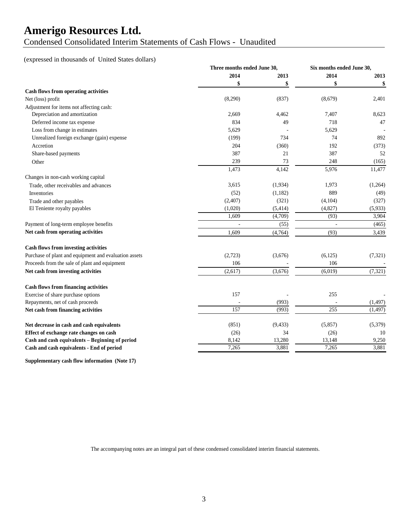Condensed Consolidated Interim Statements of Cash Flows - Unaudited

### (expressed in thousands of United States dollars)

|                                                       |         | Three months ended June 30, |         | Six months ended June 30, |  |
|-------------------------------------------------------|---------|-----------------------------|---------|---------------------------|--|
|                                                       | 2014    | 2013                        | 2014    | 2013                      |  |
|                                                       | \$      | \$                          | \$      | \$                        |  |
| <b>Cash flows from operating activities</b>           |         |                             |         |                           |  |
| Net (loss) profit                                     | (8,290) | (837)                       | (8,679) | 2,401                     |  |
| Adjustment for items not affecting cash:              |         |                             |         |                           |  |
| Depreciation and amortization                         | 2,669   | 4,462                       | 7,407   | 8,623                     |  |
| Deferred income tax expense                           | 834     | 49                          | 718     | 47                        |  |
| Loss from change in estimates                         | 5,629   |                             | 5,629   |                           |  |
| Unrealized foreign exchange (gain) expense            | (199)   | 734                         | 74      | 892                       |  |
| Accretion                                             | 204     | (360)                       | 192     | (373)                     |  |
| Share-based payments                                  | 387     | 21                          | 387     | 52                        |  |
| Other                                                 | 239     | 73                          | 248     | (165)                     |  |
|                                                       | 1,473   | 4,142                       | 5,976   | 11,477                    |  |
| Changes in non-cash working capital                   |         |                             |         |                           |  |
| Trade, other receivables and advances                 | 3,615   | (1,934)                     | 1,973   | (1,264)                   |  |
| Inventories                                           | (52)    | (1,182)                     | 889     | (49)                      |  |
| Trade and other payables                              | (2,407) | (321)                       | (4,104) | (327)                     |  |
| El Teniente royalty payables                          | (1,020) | (5,414)                     | (4,827) | (5,933)                   |  |
|                                                       | 1,609   | (4,709)                     | (93)    | 3,904                     |  |
| Payment of long-term employee benefits                |         | (55)                        |         | (465)                     |  |
| Net cash from operating activities                    | 1,609   | (4,764)                     | (93)    | 3,439                     |  |
| <b>Cash flows from investing activities</b>           |         |                             |         |                           |  |
| Purchase of plant and equipment and evaluation assets | (2,723) | (3,676)                     | (6,125) | (7, 321)                  |  |
| Proceeds from the sale of plant and equipment         | 106     |                             | 106     |                           |  |
| Net cash from investing activities                    | (2,617) | (3,676)                     | (6,019) | (7, 321)                  |  |
| <b>Cash flows from financing activities</b>           |         |                             |         |                           |  |
| Exercise of share purchase options                    | 157     |                             | 255     |                           |  |
| Repayments, net of cash proceeds                      |         | (993)                       |         | (1, 497)                  |  |
| Net cash from financing activities                    | 157     | (993)                       | 255     | (1, 497)                  |  |
| Net decrease in cash and cash equivalents             | (851)   | (9, 433)                    | (5,857) | (5,379)                   |  |
| Effect of exchange rate changes on cash               | (26)    | 34                          | (26)    | 10                        |  |
| Cash and cash equivalents - Beginning of period       | 8,142   | 13,280                      | 13,148  | 9,250                     |  |
| Cash and cash equivalents - End of period             | 7,265   | 3,881                       | 7,265   | 3,881                     |  |

**Supplementary cash flow information (Note 17)**

The accompanying notes are an integral part of these condensed consolidated interim financial statements.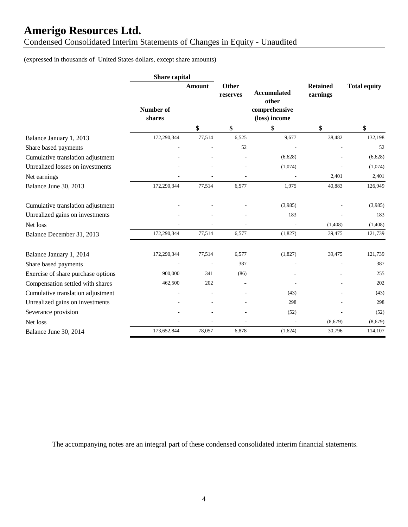Condensed Consolidated Interim Statements of Changes in Equity - Unaudited

(expressed in thousands of United States dollars, except share amounts)

|                                    | Share capital       |               |                   |                                                               |                             |                     |
|------------------------------------|---------------------|---------------|-------------------|---------------------------------------------------------------|-----------------------------|---------------------|
|                                    | Number of<br>shares | <b>Amount</b> | Other<br>reserves | <b>Accumulated</b><br>other<br>comprehensive<br>(loss) income | <b>Retained</b><br>earnings | <b>Total equity</b> |
|                                    |                     | \$            | \$                | \$                                                            | \$                          | \$                  |
| Balance January 1, 2013            | 172,290,344         | 77,514        | 6,525             | 9,677                                                         | 38,482                      | 132,198             |
| Share based payments               |                     |               | 52                |                                                               |                             | 52                  |
| Cumulative translation adjustment  |                     |               |                   | (6,628)                                                       |                             | (6,628)             |
| Unrealized losses on investments   |                     |               |                   | (1,074)                                                       |                             | (1,074)             |
| Net earnings                       |                     |               |                   |                                                               | 2,401                       | 2,401               |
| Balance June 30, 2013              | 172,290,344         | 77,514        | 6,577             | 1,975                                                         | 40,883                      | 126,949             |
| Cumulative translation adjustment  |                     |               |                   | (3,985)                                                       |                             | (3,985)             |
| Unrealized gains on investments    |                     |               |                   | 183                                                           |                             | 183                 |
| Net loss                           |                     |               |                   |                                                               | (1,408)                     | (1, 408)            |
| Balance December 31, 2013          | 172,290,344         | 77,514        | 6,577             | (1,827)                                                       | 39,475                      | 121,739             |
| Balance January 1, 2014            | 172,290,344         | 77,514        | 6,577             | (1,827)                                                       | 39,475                      | 121,739             |
| Share based payments               |                     |               | 387               |                                                               |                             | 387                 |
| Exercise of share purchase options | 900,000             | 341           | (86)              |                                                               |                             | 255                 |
| Compensation settled with shares   | 462,500             | 202           |                   |                                                               |                             | 202                 |
| Cumulative translation adjustment  |                     |               |                   | (43)                                                          |                             | (43)                |
| Unrealized gains on investments    |                     |               |                   | 298                                                           |                             | 298                 |
| Severance provision                |                     |               |                   | (52)                                                          |                             | (52)                |
| Net loss                           |                     |               |                   |                                                               | (8,679)                     | (8,679)             |
| Balance June 30, 2014              | 173,652,844         | 78,057        | 6,878             | (1,624)                                                       | 30,796                      | 114,107             |

The accompanying notes are an integral part of these condensed consolidated interim financial statements.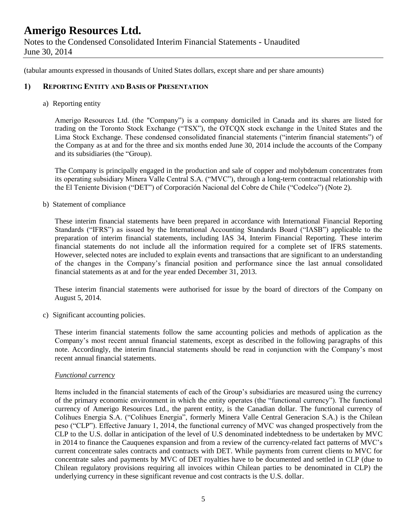(tabular amounts expressed in thousands of United States dollars, except share and per share amounts)

### **1) REPORTING ENTITY AND BASIS OF PRESENTATION**

#### a) Reporting entity

Amerigo Resources Ltd. (the "Company") is a company domiciled in Canada and its shares are listed for trading on the Toronto Stock Exchange ("TSX"), the OTCQX stock exchange in the United States and the Lima Stock Exchange. These condensed consolidated financial statements ("interim financial statements") of the Company as at and for the three and six months ended June 30, 2014 include the accounts of the Company and its subsidiaries (the "Group).

The Company is principally engaged in the production and sale of copper and molybdenum concentrates from its operating subsidiary Minera Valle Central S.A. ("MVC"), through a long-term contractual relationship with the El Teniente Division ("DET") of Corporación Nacional del Cobre de Chile ("Codelco") (Note 2).

b) Statement of compliance

These interim financial statements have been prepared in accordance with International Financial Reporting Standards ("IFRS") as issued by the International Accounting Standards Board ("IASB") applicable to the preparation of interim financial statements, including IAS 34, Interim Financial Reporting. These interim financial statements do not include all the information required for a complete set of IFRS statements. However, selected notes are included to explain events and transactions that are significant to an understanding of the changes in the Company's financial position and performance since the last annual consolidated financial statements as at and for the year ended December 31, 2013.

These interim financial statements were authorised for issue by the board of directors of the Company on August 5, 2014.

c) Significant accounting policies.

These interim financial statements follow the same accounting policies and methods of application as the Company's most recent annual financial statements, except as described in the following paragraphs of this note. Accordingly, the interim financial statements should be read in conjunction with the Company's most recent annual financial statements.

### *Functional currency*

Items included in the financial statements of each of the Group's subsidiaries are measured using the currency of the primary economic environment in which the entity operates (the "functional currency"). The functional currency of Amerigo Resources Ltd., the parent entity, is the Canadian dollar. The functional currency of Colihues Energia S.A. ("Colihues Energia", formerly Minera Valle Central Generacion S.A.) is the Chilean peso ("CLP"). Effective January 1, 2014, the functional currency of MVC was changed prospectively from the CLP to the U.S. dollar in anticipation of the level of U.S denominated indebtedness to be undertaken by MVC in 2014 to finance the Cauquenes expansion and from a review of the currency-related fact patterns of MVC's current concentrate sales contracts and contracts with DET. While payments from current clients to MVC for concentrate sales and payments by MVC of DET royalties have to be documented and settled in CLP (due to Chilean regulatory provisions requiring all invoices within Chilean parties to be denominated in CLP) the underlying currency in these significant revenue and cost contracts is the U.S. dollar.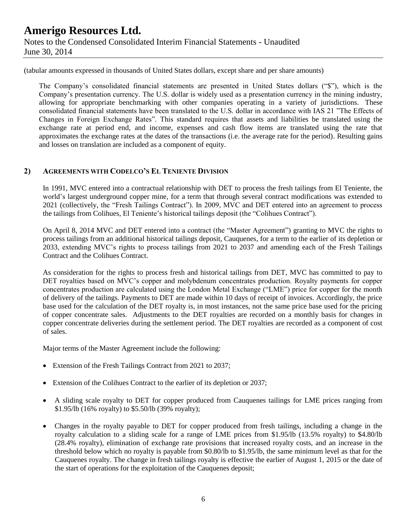(tabular amounts expressed in thousands of United States dollars, except share and per share amounts)

The Company's consolidated financial statements are presented in United States dollars ("\$"), which is the Company's presentation currency. The U.S. dollar is widely used as a presentation currency in the mining industry, allowing for appropriate benchmarking with other companies operating in a variety of jurisdictions. These consolidated financial statements have been translated to the U.S. dollar in accordance with IAS 21 "The Effects of Changes in Foreign Exchange Rates". This standard requires that assets and liabilities be translated using the exchange rate at period end, and income, expenses and cash flow items are translated using the rate that approximates the exchange rates at the dates of the transactions (i.e. the average rate for the period). Resulting gains and losses on translation are included as a component of equity.

### **2) AGREEMENTS WITH CODELCO'S EL TENIENTE DIVISION**

In 1991, MVC entered into a contractual relationship with DET to process the fresh tailings from El Teniente, the world's largest underground copper mine, for a term that through several contract modifications was extended to 2021 (collectively, the "Fresh Tailings Contract"). In 2009, MVC and DET entered into an agreement to process the tailings from Colihues, El Teniente's historical tailings deposit (the "Colihues Contract").

On April 8, 2014 MVC and DET entered into a contract (the "Master Agreement") granting to MVC the rights to process tailings from an additional historical tailings deposit, Cauquenes, for a term to the earlier of its depletion or 2033, extending MVC's rights to process tailings from 2021 to 2037 and amending each of the Fresh Tailings Contract and the Colihues Contract.

As consideration for the rights to process fresh and historical tailings from DET, MVC has committed to pay to DET royalties based on MVC's copper and molybdenum concentrates production. Royalty payments for copper concentrates production are calculated using the London Metal Exchange ("LME") price for copper for the month of delivery of the tailings. Payments to DET are made within 10 days of receipt of invoices. Accordingly, the price base used for the calculation of the DET royalty is, in most instances, not the same price base used for the pricing of copper concentrate sales. Adjustments to the DET royalties are recorded on a monthly basis for changes in copper concentrate deliveries during the settlement period. The DET royalties are recorded as a component of cost of sales.

Major terms of the Master Agreement include the following:

- Extension of the Fresh Tailings Contract from 2021 to 2037;
- Extension of the Colihues Contract to the earlier of its depletion or 2037;
- A sliding scale royalty to DET for copper produced from Cauquenes tailings for LME prices ranging from \$1.95/lb (16% royalty) to \$5.50/lb (39% royalty);
- Changes in the royalty payable to DET for copper produced from fresh tailings, including a change in the royalty calculation to a sliding scale for a range of LME prices from \$1.95/lb (13.5% royalty) to \$4.80/lb (28.4% royalty), elimination of exchange rate provisions that increased royalty costs, and an increase in the threshold below which no royalty is payable from \$0.80/lb to \$1.95/lb, the same minimum level as that for the Cauquenes royalty. The change in fresh tailings royalty is effective the earlier of August 1, 2015 or the date of the start of operations for the exploitation of the Cauquenes deposit;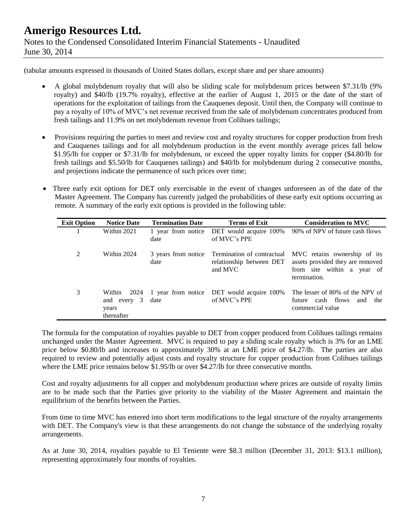(tabular amounts expressed in thousands of United States dollars, except share and per share amounts)

- A global molybdenum royalty that will also be sliding scale for molybdenum prices between \$7.31/lb (9% royalty) and \$40/lb (19.7% royalty), effective at the earlier of August 1, 2015 or the date of the start of operations for the exploitation of tailings from the Cauquenes deposit. Until then, the Company will continue to pay a royalty of 10% of MVC's net revenue received from the sale of molybdenum concentrates produced from fresh tailings and 11.9% on net molybdenum revenue from Colihues tailings;
- Provisions requiring the parties to meet and review cost and royalty structures for copper production from fresh and Cauquenes tailings and for all molybdenum production in the event monthly average prices fall below \$1.95/lb for copper or \$7.31/lb for molybdenum, or exceed the upper royalty limits for copper (\$4.80/lb for fresh tailings and \$5.50/lb for Cauquenes tailings) and \$40/lb for molybdenum during 2 consecutive months, and projections indicate the permanence of such prices over time;
- Three early exit options for DET only exercisable in the event of changes unforeseen as of the date of the Master Agreement. The Company has currently judged the probabilities of these early exit options occurring as remote. A summary of the early exit options is provided in the following table:

| <b>Exit Option</b> | <b>Notice Date</b>                                   | <b>Termination Date</b>     | <b>Terms of Exit</b>                                              | <b>Consideration to MVC</b>                                                                                    |
|--------------------|------------------------------------------------------|-----------------------------|-------------------------------------------------------------------|----------------------------------------------------------------------------------------------------------------|
|                    | Within 2021                                          | date                        | 1 year from notice DET would acquire 100%<br>of MVC's PPE         | 90% of NPV of future cash flows                                                                                |
| 2                  | Within 2024                                          | 3 years from notice<br>date | Termination of contractual<br>relationship between DET<br>and MVC | MVC retains ownership of its<br>assets provided they are removed<br>from site within a year of<br>termination. |
| 3                  | Within<br>2024<br>and every 3<br>years<br>thereafter | date                        | 1 year from notice DET would acquire 100%<br>of MVC's PPE         | The lesser of 80% of the NPV of<br>future cash flows<br>and the<br>commercial value                            |

The formula for the computation of royalties payable to DET from copper produced from Colihues tailings remains unchanged under the Master Agreement. MVC is required to pay a sliding scale royalty which is 3% for an LME price below \$0.80/lb and increases to approximately 30% at an LME price of \$4.27/lb. The parties are also required to review and potentially adjust costs and royalty structure for copper production from Colihues tailings where the LME price remains below \$1.95/lb or over \$4.27/lb for three consecutive months.

Cost and royalty adjustments for all copper and molybdenum production where prices are outside of royalty limits are to be made such that the Parties give priority to the viability of the Master Agreement and maintain the equilibrium of the benefits between the Parties.

From time to time MVC has entered into short term modifications to the legal structure of the royalty arrangements with DET. The Company's view is that these arrangements do not change the substance of the underlying royalty arrangements.

As at June 30, 2014, royalties payable to El Teniente were \$8.3 million (December 31, 2013: \$13.1 million), representing approximately four months of royalties.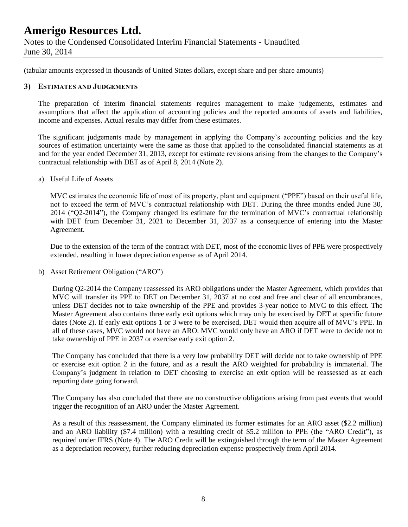June 30, 2014

(tabular amounts expressed in thousands of United States dollars, except share and per share amounts)

### **3) ESTIMATES AND JUDGEMENTS**

The preparation of interim financial statements requires management to make judgements, estimates and assumptions that affect the application of accounting policies and the reported amounts of assets and liabilities, income and expenses. Actual results may differ from these estimates.

The significant judgements made by management in applying the Company's accounting policies and the key sources of estimation uncertainty were the same as those that applied to the consolidated financial statements as at and for the year ended December 31, 2013, except for estimate revisions arising from the changes to the Company's contractual relationship with DET as of April 8, 2014 (Note 2).

a) Useful Life of Assets

MVC estimates the economic life of most of its property, plant and equipment ("PPE") based on their useful life, not to exceed the term of MVC's contractual relationship with DET. During the three months ended June 30, 2014 ("Q2-2014"), the Company changed its estimate for the termination of MVC's contractual relationship with DET from December 31, 2021 to December 31, 2037 as a consequence of entering into the Master Agreement.

Due to the extension of the term of the contract with DET, most of the economic lives of PPE were prospectively extended, resulting in lower depreciation expense as of April 2014.

b) Asset Retirement Obligation ("ARO")

During Q2-2014 the Company reassessed its ARO obligations under the Master Agreement, which provides that MVC will transfer its PPE to DET on December 31, 2037 at no cost and free and clear of all encumbrances, unless DET decides not to take ownership of the PPE and provides 3-year notice to MVC to this effect. The Master Agreement also contains three early exit options which may only be exercised by DET at specific future dates (Note 2). If early exit options 1 or 3 were to be exercised, DET would then acquire all of MVC's PPE. In all of these cases, MVC would not have an ARO. MVC would only have an ARO if DET were to decide not to take ownership of PPE in 2037 or exercise early exit option 2.

The Company has concluded that there is a very low probability DET will decide not to take ownership of PPE or exercise exit option 2 in the future, and as a result the ARO weighted for probability is immaterial. The Company's judgment in relation to DET choosing to exercise an exit option will be reassessed as at each reporting date going forward.

The Company has also concluded that there are no constructive obligations arising from past events that would trigger the recognition of an ARO under the Master Agreement.

As a result of this reassessment, the Company eliminated its former estimates for an ARO asset (\$2.2 million) and an ARO liability (\$7.4 million) with a resulting credit of \$5.2 million to PPE (the "ARO Credit"), as required under IFRS (Note 4). The ARO Credit will be extinguished through the term of the Master Agreement as a depreciation recovery, further reducing depreciation expense prospectively from April 2014.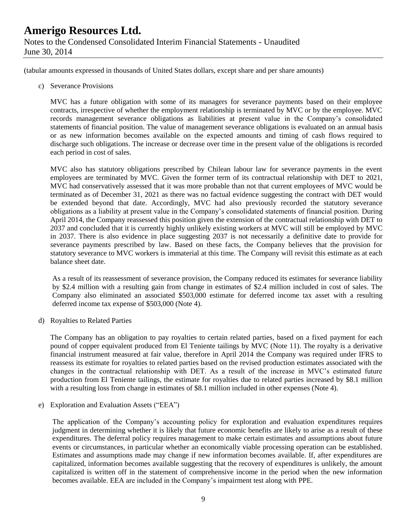(tabular amounts expressed in thousands of United States dollars, except share and per share amounts)

c) Severance Provisions

MVC has a future obligation with some of its managers for severance payments based on their employee contracts, irrespective of whether the employment relationship is terminated by MVC or by the employee. MVC records management severance obligations as liabilities at present value in the Company's consolidated statements of financial position. The value of management severance obligations is evaluated on an annual basis or as new information becomes available on the expected amounts and timing of cash flows required to discharge such obligations. The increase or decrease over time in the present value of the obligations is recorded each period in cost of sales.

MVC also has statutory obligations prescribed by Chilean labour law for severance payments in the event employees are terminated by MVC. Given the former term of its contractual relationship with DET to 2021, MVC had conservatively assessed that it was more probable than not that current employees of MVC would be terminated as of December 31, 2021 as there was no factual evidence suggesting the contract with DET would be extended beyond that date. Accordingly, MVC had also previously recorded the statutory severance obligations as a liability at present value in the Company's consolidated statements of financial position. During April 2014, the Company reassessed this position given the extension of the contractual relationship with DET to 2037 and concluded that it is currently highly unlikely existing workers at MVC will still be employed by MVC in 2037. There is also evidence in place suggesting 2037 is not necessarily a definitive date to provide for severance payments prescribed by law. Based on these facts, the Company believes that the provision for statutory severance to MVC workers is immaterial at this time. The Company will revisit this estimate as at each balance sheet date.

As a result of its reassessment of severance provision, the Company reduced its estimates for severance liability by \$2.4 million with a resulting gain from change in estimates of \$2.4 million included in cost of sales. The Company also eliminated an associated \$503,000 estimate for deferred income tax asset with a resulting deferred income tax expense of \$503,000 (Note 4).

d) Royalties to Related Parties

The Company has an obligation to pay royalties to certain related parties, based on a fixed payment for each pound of copper equivalent produced from El Teniente tailings by MVC (Note 11). The royalty is a derivative financial instrument measured at fair value, therefore in April 2014 the Company was required under IFRS to reassess its estimate for royalties to related parties based on the revised production estimates associated with the changes in the contractual relationship with DET. As a result of the increase in MVC's estimated future production from El Teniente tailings, the estimate for royalties due to related parties increased by \$8.1 million with a resulting loss from change in estimates of \$8.1 million included in other expenses (Note 4).

e) Exploration and Evaluation Assets ("EEA")

The application of the Company's accounting policy for exploration and evaluation expenditures requires judgment in determining whether it is likely that future economic benefits are likely to arise as a result of these expenditures. The deferral policy requires management to make certain estimates and assumptions about future events or circumstances, in particular whether an economically viable processing operation can be established. Estimates and assumptions made may change if new information becomes available. If, after expenditures are capitalized, information becomes available suggesting that the recovery of expenditures is unlikely, the amount capitalized is written off in the statement of comprehensive income in the period when the new information becomes available. EEA are included in the Company's impairment test along with PPE.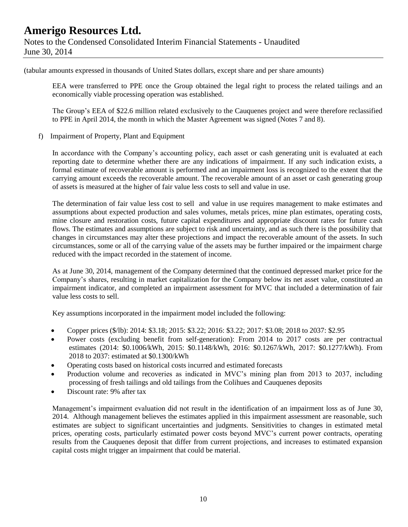(tabular amounts expressed in thousands of United States dollars, except share and per share amounts)

EEA were transferred to PPE once the Group obtained the legal right to process the related tailings and an economically viable processing operation was established.

The Group's EEA of \$22.6 million related exclusively to the Cauquenes project and were therefore reclassified to PPE in April 2014, the month in which the Master Agreement was signed (Notes 7 and 8).

f) Impairment of Property, Plant and Equipment

In accordance with the Company's accounting policy, each asset or cash generating unit is evaluated at each reporting date to determine whether there are any indications of impairment. If any such indication exists, a formal estimate of recoverable amount is performed and an impairment loss is recognized to the extent that the carrying amount exceeds the recoverable amount. The recoverable amount of an asset or cash generating group of assets is measured at the higher of fair value less costs to sell and value in use.

The determination of fair value less cost to sell and value in use requires management to make estimates and assumptions about expected production and sales volumes, metals prices, mine plan estimates, operating costs, mine closure and restoration costs, future capital expenditures and appropriate discount rates for future cash flows. The estimates and assumptions are subject to risk and uncertainty, and as such there is the possibility that changes in circumstances may alter these projections and impact the recoverable amount of the assets. In such circumstances, some or all of the carrying value of the assets may be further impaired or the impairment charge reduced with the impact recorded in the statement of income.

As at June 30, 2014, management of the Company determined that the continued depressed market price for the Company's shares, resulting in market capitalization for the Company below its net asset value, constituted an impairment indicator, and completed an impairment assessment for MVC that included a determination of fair value less costs to sell.

Key assumptions incorporated in the impairment model included the following:

- Copper prices (\$/lb): 2014: \$3.18; 2015: \$3.22; 2016: \$3.22; 2017: \$3.08; 2018 to 2037: \$2.95
- Power costs (excluding benefit from self-generation): From 2014 to 2017 costs are per contractual estimates (2014: \$0.1006/kWh, 2015: \$0.1148/kWh, 2016: \$0.1267/kWh, 2017: \$0.1277/kWh). From 2018 to 2037: estimated at \$0.1300/kWh
- Operating costs based on historical costs incurred and estimated forecasts
- Production volume and recoveries as indicated in MVC's mining plan from 2013 to 2037, including processing of fresh tailings and old tailings from the Colihues and Cauquenes deposits
- Discount rate: 9% after tax

Management's impairment evaluation did not result in the identification of an impairment loss as of June 30, 2014. Although management believes the estimates applied in this impairment assessment are reasonable, such estimates are subject to significant uncertainties and judgments. Sensitivities to changes in estimated metal prices, operating costs, particularly estimated power costs beyond MVC's current power contracts, operating results from the Cauquenes deposit that differ from current projections, and increases to estimated expansion capital costs might trigger an impairment that could be material.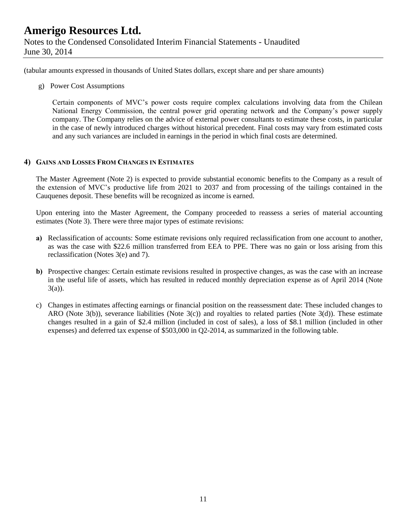(tabular amounts expressed in thousands of United States dollars, except share and per share amounts)

g) Power Cost Assumptions

Certain components of MVC's power costs require complex calculations involving data from the Chilean National Energy Commission, the central power grid operating network and the Company's power supply company. The Company relies on the advice of external power consultants to estimate these costs, in particular in the case of newly introduced charges without historical precedent. Final costs may vary from estimated costs and any such variances are included in earnings in the period in which final costs are determined.

### **4) GAINS AND LOSSES FROM CHANGES IN ESTIMATES**

The Master Agreement (Note 2) is expected to provide substantial economic benefits to the Company as a result of the extension of MVC's productive life from 2021 to 2037 and from processing of the tailings contained in the Cauquenes deposit. These benefits will be recognized as income is earned.

Upon entering into the Master Agreement, the Company proceeded to reassess a series of material accounting estimates (Note 3). There were three major types of estimate revisions:

- **a)** Reclassification of accounts: Some estimate revisions only required reclassification from one account to another, as was the case with \$22.6 million transferred from EEA to PPE. There was no gain or loss arising from this reclassification (Notes 3(e) and 7).
- **b)** Prospective changes: Certain estimate revisions resulted in prospective changes, as was the case with an increase in the useful life of assets, which has resulted in reduced monthly depreciation expense as of April 2014 (Note 3(a)).
- c) Changes in estimates affecting earnings or financial position on the reassessment date: These included changes to ARO (Note 3(b)), severance liabilities (Note 3(c)) and royalties to related parties (Note 3(d)). These estimate changes resulted in a gain of \$2.4 million (included in cost of sales), a loss of \$8.1 million (included in other expenses) and deferred tax expense of \$503,000 in Q2-2014, as summarized in the following table.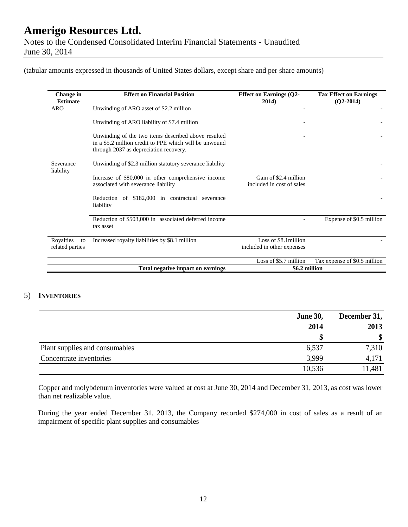(tabular amounts expressed in thousands of United States dollars, except share and per share amounts)

| Change in<br><b>Estimate</b> | <b>Effect on Financial Position</b>                                                              | <b>Effect on Earnings (Q2-</b><br>2014)            | <b>Tax Effect on Earnings</b><br>$(Q2-2014)$ |
|------------------------------|--------------------------------------------------------------------------------------------------|----------------------------------------------------|----------------------------------------------|
| <b>ARO</b>                   | Unwinding of ARO asset of \$2.2 million                                                          |                                                    |                                              |
|                              | Unwinding of ARO liability of \$7.4 million                                                      |                                                    |                                              |
|                              | Unwinding of the two items described above resulted                                              |                                                    |                                              |
|                              | in a \$5.2 million credit to PPE which will be unwound<br>through 2037 as depreciation recovery. |                                                    |                                              |
| Severance<br>liability       | Unwinding of \$2.3 million statutory severance liability                                         |                                                    |                                              |
|                              | Increase of \$80,000 in other comprehensive income<br>associated with severance liability        | Gain of \$2.4 million<br>included in cost of sales |                                              |
|                              | Reduction of \$182,000 in contractual severance<br>liability                                     |                                                    |                                              |
|                              | Reduction of \$503,000 in associated deferred income<br>tax asset                                |                                                    | Expense of \$0.5 million                     |
| Royalties<br>to              | Increased royalty liabilities by \$8.1 million                                                   | Loss of \$8.1 million                              |                                              |
| related parties              |                                                                                                  | included in other expenses                         |                                              |
|                              |                                                                                                  | Loss of \$5.7 million                              | Tax expense of \$0.5 million                 |
|                              | Total negative impact on earnings                                                                | \$6.2 million                                      |                                              |

### 5) **INVENTORIES**

|                                | <b>June 30,</b> | December 31, |  |
|--------------------------------|-----------------|--------------|--|
|                                | 2014            | 2013         |  |
|                                |                 | \$           |  |
| Plant supplies and consumables | 6,537           | 7,310        |  |
| Concentrate inventories        | 3,999           | 4,171        |  |
|                                | 10,536          | 11,481       |  |

Copper and molybdenum inventories were valued at cost at June 30, 2014 and December 31, 2013, as cost was lower than net realizable value.

During the year ended December 31, 2013, the Company recorded \$274,000 in cost of sales as a result of an impairment of specific plant supplies and consumables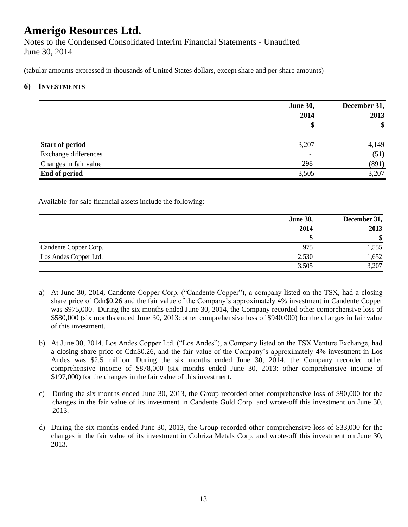Notes to the Condensed Consolidated Interim Financial Statements - Unaudited June 30, 2014

(tabular amounts expressed in thousands of United States dollars, except share and per share amounts)

#### **6) INVESTMENTS**

|                        | <b>June 30,</b><br>2014<br>D | December 31,<br>2013<br>$\boldsymbol{\$}$ |
|------------------------|------------------------------|-------------------------------------------|
| <b>Start of period</b> | 3,207                        | 4,149                                     |
| Exchange differences   | $\overline{\phantom{0}}$     | (51)                                      |
| Changes in fair value  | 298                          | (891)                                     |
| End of period          | 3,505                        | 3,207                                     |

Available-for-sale financial assets include the following:

|                       | <b>June 30,</b> | December 31,              |
|-----------------------|-----------------|---------------------------|
|                       | 2014            | 2013                      |
|                       |                 | $\boldsymbol{\mathsf{s}}$ |
| Candente Copper Corp. | 975             | 1,555                     |
| Los Andes Copper Ltd. | 2,530           | 1,652                     |
|                       | 3,505           | 3,207                     |

- a) At June 30, 2014, Candente Copper Corp. ("Candente Copper"), a company listed on the TSX, had a closing share price of Cdn\$0.26 and the fair value of the Company's approximately 4% investment in Candente Copper was \$975,000. During the six months ended June 30, 2014, the Company recorded other comprehensive loss of \$580,000 (six months ended June 30, 2013: other comprehensive loss of \$940,000) for the changes in fair value of this investment.
- b) At June 30, 2014, Los Andes Copper Ltd. ("Los Andes"), a Company listed on the TSX Venture Exchange, had a closing share price of Cdn\$0.26, and the fair value of the Company's approximately 4% investment in Los Andes was \$2.5 million. During the six months ended June 30, 2014, the Company recorded other comprehensive income of \$878,000 (six months ended June 30, 2013: other comprehensive income of \$197,000) for the changes in the fair value of this investment.
- c) During the six months ended June 30, 2013, the Group recorded other comprehensive loss of \$90,000 for the changes in the fair value of its investment in Candente Gold Corp. and wrote-off this investment on June 30, 2013.
- d) During the six months ended June 30, 2013, the Group recorded other comprehensive loss of \$33,000 for the changes in the fair value of its investment in Cobriza Metals Corp. and wrote-off this investment on June 30, 2013.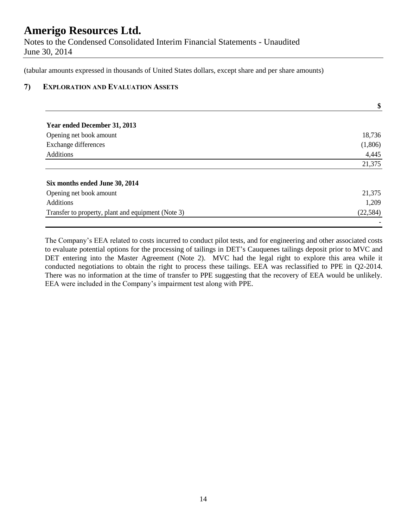Notes to the Condensed Consolidated Interim Financial Statements - Unaudited June 30, 2014

(tabular amounts expressed in thousands of United States dollars, except share and per share amounts)

### **7) EXPLORATION AND EVALUATION ASSETS**

|                                                    | \$        |
|----------------------------------------------------|-----------|
| Year ended December 31, 2013                       |           |
| Opening net book amount                            | 18,736    |
| Exchange differences                               | (1,806)   |
| <b>Additions</b>                                   | 4,445     |
|                                                    | 21,375    |
| Six months ended June 30, 2014                     |           |
| Opening net book amount                            | 21,375    |
| <b>Additions</b>                                   | 1,209     |
| Transfer to property, plant and equipment (Note 3) | (22, 584) |
|                                                    |           |

The Company's EEA related to costs incurred to conduct pilot tests, and for engineering and other associated costs to evaluate potential options for the processing of tailings in DET's Cauquenes tailings deposit prior to MVC and DET entering into the Master Agreement (Note 2). MVC had the legal right to explore this area while it conducted negotiations to obtain the right to process these tailings. EEA was reclassified to PPE in Q2-2014. There was no information at the time of transfer to PPE suggesting that the recovery of EEA would be unlikely. EEA were included in the Company's impairment test along with PPE.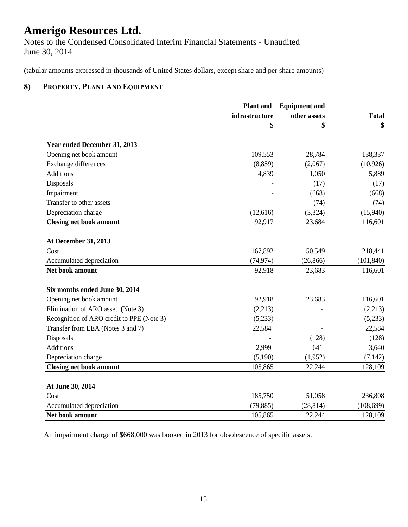Notes to the Condensed Consolidated Interim Financial Statements - Unaudited June 30, 2014

(tabular amounts expressed in thousands of United States dollars, except share and per share amounts)

## **8) PROPERTY, PLANT AND EQUIPMENT**

|                                           | <b>Plant</b> and | <b>Equipment and</b> | <b>Total</b> |
|-------------------------------------------|------------------|----------------------|--------------|
|                                           | infrastructure   | other assets         |              |
|                                           | \$               | \$                   | \$           |
| Year ended December 31, 2013              |                  |                      |              |
| Opening net book amount                   | 109,553          | 28,784               | 138,337      |
| Exchange differences                      | (8, 859)         | (2,067)              | (10, 926)    |
| Additions                                 | 4,839            | 1,050                | 5,889        |
| Disposals                                 |                  | (17)                 | (17)         |
| Impairment                                |                  | (668)                | (668)        |
| Transfer to other assets                  |                  | (74)                 | (74)         |
| Depreciation charge                       | (12,616)         | (3,324)              | (15,940)     |
| <b>Closing net book amount</b>            | 92,917           | 23,684               | 116,601      |
| <b>At December 31, 2013</b>               |                  |                      |              |
| Cost                                      | 167,892          | 50,549               | 218,441      |
| Accumulated depreciation                  | (74, 974)        | (26, 866)            | (101, 840)   |
| Net book amount                           | 92,918           | 23,683               | 116,601      |
| Six months ended June 30, 2014            |                  |                      |              |
| Opening net book amount                   | 92,918           | 23,683               | 116,601      |
| Elimination of ARO asset (Note 3)         | (2,213)          |                      | (2,213)      |
| Recognition of ARO credit to PPE (Note 3) | (5,233)          |                      | (5,233)      |
| Transfer from EEA (Notes 3 and 7)         | 22,584           |                      | 22,584       |
| Disposals                                 |                  | (128)                | (128)        |
| <b>Additions</b>                          | 2,999            | 641                  | 3,640        |
| Depreciation charge                       | (5,190)          | (1,952)              | (7, 142)     |
| <b>Closing net book amount</b>            | 105,865          | 22,244               | 128,109      |
|                                           |                  |                      |              |
| At June 30, 2014                          |                  |                      |              |
| Cost                                      | 185,750          | 51,058               | 236,808      |
| Accumulated depreciation                  | (79, 885)        | (28, 814)            | (108, 699)   |
| Net book amount                           | 105,865          | 22,244               | 128,109      |

An impairment charge of \$668,000 was booked in 2013 for obsolescence of specific assets.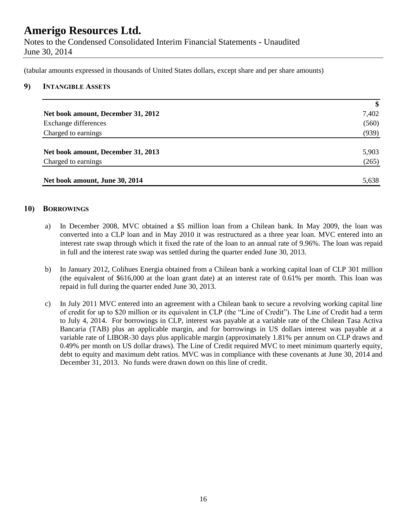Notes to the Condensed Consolidated Interim Financial Statements - Unaudited June 30, 2014

(tabular amounts expressed in thousands of United States dollars, except share and per share amounts)

#### **9) INTANGIBLE ASSETS**

|                                    | $\boldsymbol{\$}$ |
|------------------------------------|-------------------|
| Net book amount, December 31, 2012 | 7,402             |
| Exchange differences               | (560)             |
| Charged to earnings                | (939)             |
|                                    |                   |
| Net book amount, December 31, 2013 | 5,903             |
| Charged to earnings                | (265)             |
|                                    |                   |
| Net book amount, June 30, 2014     | 5,638             |

### **10) BORROWINGS**

- a) In December 2008, MVC obtained a \$5 million loan from a Chilean bank. In May 2009, the loan was converted into a CLP loan and in May 2010 it was restructured as a three year loan. MVC entered into an interest rate swap through which it fixed the rate of the loan to an annual rate of 9.96%. The loan was repaid in full and the interest rate swap was settled during the quarter ended June 30, 2013.
- b) In January 2012, Colihues Energia obtained from a Chilean bank a working capital loan of CLP 301 million (the equivalent of \$616,000 at the loan grant date) at an interest rate of 0.61% per month. This loan was repaid in full during the quarter ended June 30, 2013.
- c) In July 2011 MVC entered into an agreement with a Chilean bank to secure a revolving working capital line of credit for up to \$20 million or its equivalent in CLP (the "Line of Credit"). The Line of Credit had a term to July 4, 2014. For borrowings in CLP, interest was payable at a variable rate of the Chilean Tasa Activa Bancaria (TAB) plus an applicable margin, and for borrowings in US dollars interest was payable at a variable rate of LIBOR-30 days plus applicable margin (approximately 1.81% per annum on CLP draws and 0.49% per month on US dollar draws). The Line of Credit required MVC to meet minimum quarterly equity, debt to equity and maximum debt ratios. MVC was in compliance with these covenants at June 30, 2014 and December 31, 2013. No funds were drawn down on this line of credit.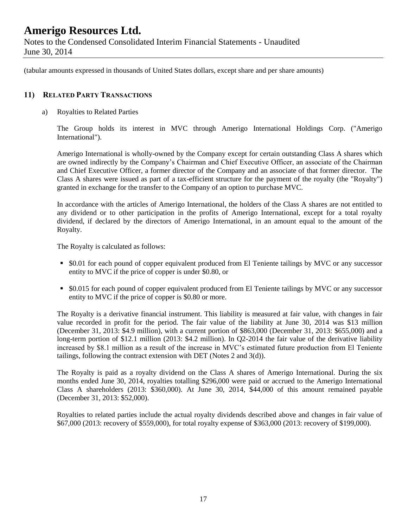June 30, 2014

(tabular amounts expressed in thousands of United States dollars, except share and per share amounts)

### **11) RELATED PARTY TRANSACTIONS**

a) Royalties to Related Parties

The Group holds its interest in MVC through Amerigo International Holdings Corp. ("Amerigo International").

Amerigo International is wholly-owned by the Company except for certain outstanding Class A shares which are owned indirectly by the Company's Chairman and Chief Executive Officer, an associate of the Chairman and Chief Executive Officer, a former director of the Company and an associate of that former director. The Class A shares were issued as part of a tax-efficient structure for the payment of the royalty (the "Royalty") granted in exchange for the transfer to the Company of an option to purchase MVC.

In accordance with the articles of Amerigo International, the holders of the Class A shares are not entitled to any dividend or to other participation in the profits of Amerigo International, except for a total royalty dividend, if declared by the directors of Amerigo International, in an amount equal to the amount of the Royalty.

The Royalty is calculated as follows:

- \$0.01 for each pound of copper equivalent produced from El Teniente tailings by MVC or any successor entity to MVC if the price of copper is under \$0.80, or
- \$0.015 for each pound of copper equivalent produced from El Teniente tailings by MVC or any successor entity to MVC if the price of copper is \$0.80 or more.

The Royalty is a derivative financial instrument. This liability is measured at fair value, with changes in fair value recorded in profit for the period. The fair value of the liability at June 30, 2014 was \$13 million (December 31, 2013: \$4.9 million), with a current portion of \$863,000 (December 31, 2013: \$655,000) and a long-term portion of \$12.1 million (2013: \$4.2 million). In Q2-2014 the fair value of the derivative liability increased by \$8.1 million as a result of the increase in MVC's estimated future production from El Teniente tailings, following the contract extension with DET (Notes 2 and 3(d)).

The Royalty is paid as a royalty dividend on the Class A shares of Amerigo International. During the six months ended June 30, 2014, royalties totalling \$296,000 were paid or accrued to the Amerigo International Class A shareholders (2013: \$360,000). At June 30, 2014, \$44,000 of this amount remained payable (December 31, 2013: \$52,000).

Royalties to related parties include the actual royalty dividends described above and changes in fair value of \$67,000 (2013: recovery of \$559,000), for total royalty expense of \$363,000 (2013: recovery of \$199,000).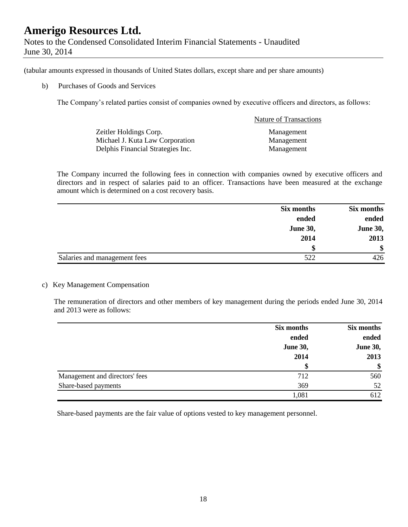|               | Notes to the Condensed Consolidated Interim Financial Statements - Unaudited |  |  |
|---------------|------------------------------------------------------------------------------|--|--|
| June 30, 2014 |                                                                              |  |  |

(tabular amounts expressed in thousands of United States dollars, except share and per share amounts)

b) Purchases of Goods and Services

The Company's related parties consist of companies owned by executive officers and directors, as follows:

|                                   | <b>Nature of Transactions</b> |
|-----------------------------------|-------------------------------|
| Zeitler Holdings Corp.            | Management                    |
| Michael J. Kuta Law Corporation   | Management                    |
| Delphis Financial Strategies Inc. | Management                    |

The Company incurred the following fees in connection with companies owned by executive officers and directors and in respect of salaries paid to an officer. Transactions have been measured at the exchange amount which is determined on a cost recovery basis.

|                              | Six months      | Six months      |
|------------------------------|-----------------|-----------------|
|                              | ended           | ended           |
|                              | <b>June 30,</b> | <b>June 30,</b> |
|                              | 2014            | 2013            |
|                              | S               | <sup>\$</sup>   |
| Salaries and management fees | 522             | 426             |

### c) Key Management Compensation

The remuneration of directors and other members of key management during the periods ended June 30, 2014 and 2013 were as follows:

|                                | Six months      | Six months      |
|--------------------------------|-----------------|-----------------|
|                                | ended           | ended           |
|                                | <b>June 30,</b> | <b>June 30,</b> |
|                                | 2014            | 2013            |
|                                |                 | \$              |
| Management and directors' fees | 712             | 560             |
| Share-based payments           | 369             | 52              |
|                                | 1,081           | 612             |

Share-based payments are the fair value of options vested to key management personnel.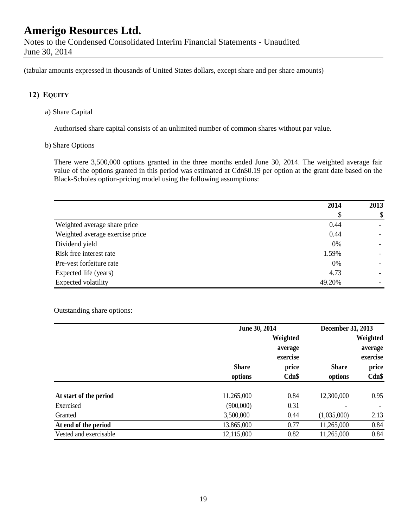(tabular amounts expressed in thousands of United States dollars, except share and per share amounts)

### **12) EQUITY**

a) Share Capital

Authorised share capital consists of an unlimited number of common shares without par value.

b) Share Options

There were 3,500,000 options granted in the three months ended June 30, 2014. The weighted average fair value of the options granted in this period was estimated at Cdn\$0.19 per option at the grant date based on the Black-Scholes option-pricing model using the following assumptions:

|                                 | 2014   | 2013 |
|---------------------------------|--------|------|
|                                 | \$     | \$   |
| Weighted average share price    | 0.44   |      |
| Weighted average exercise price | 0.44   |      |
| Dividend yield                  | 0%     |      |
| Risk free interest rate         | 1.59%  |      |
| Pre-vest forfeiture rate        | 0%     |      |
| Expected life (years)           | 4.73   |      |
| Expected volatility             | 49.20% |      |

Outstanding share options:

|                        |              | June 30, 2014 |              | December 31, 2013        |  |
|------------------------|--------------|---------------|--------------|--------------------------|--|
|                        |              | Weighted      |              | Weighted                 |  |
|                        |              | average       |              | average                  |  |
|                        |              | exercise      |              | exercise                 |  |
|                        | <b>Share</b> | price         | <b>Share</b> | price                    |  |
|                        | options      | $Cdn$ \$      | options      | $Cdn$ \$                 |  |
| At start of the period | 11,265,000   | 0.84          | 12,300,000   | 0.95                     |  |
| Exercised              | (900,000)    | 0.31          |              | $\overline{\phantom{a}}$ |  |
| Granted                | 3,500,000    | 0.44          | (1,035,000)  | 2.13                     |  |
| At end of the period   | 13,865,000   | 0.77          | 11,265,000   | 0.84                     |  |
| Vested and exercisable | 12,115,000   | 0.82          | 11,265,000   | 0.84                     |  |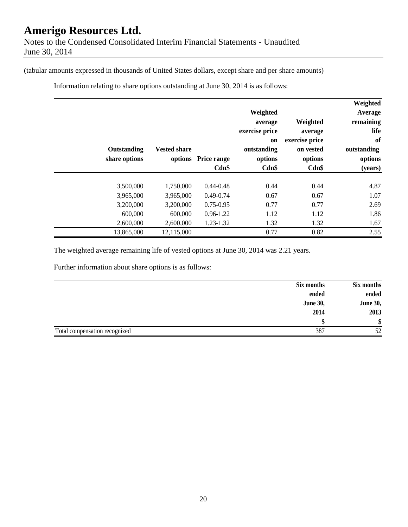(tabular amounts expressed in thousands of United States dollars, except share and per share amounts)

Information relating to share options outstanding at June 30, 2014 is as follows:

| Weighted<br>Average<br>remaining<br>Weighted<br>life<br>average<br>of<br>exercise price<br>outstanding<br>on vested<br>options<br>options<br>$Cdn$ \$<br>(years) | Weighted<br>average<br>exercise price<br><sub>on</sub><br>outstanding<br>options<br>$Cdn$ \$ | <b>Price range</b><br>$Cdn$ \$ | <b>Vested share</b><br>options | Outstanding<br>share options |
|------------------------------------------------------------------------------------------------------------------------------------------------------------------|----------------------------------------------------------------------------------------------|--------------------------------|--------------------------------|------------------------------|
| 4.87<br>0.44                                                                                                                                                     | 0.44                                                                                         | $0.44 - 0.48$                  | 1,750,000                      | 3,500,000                    |
| 0.67<br>1.07                                                                                                                                                     | 0.67                                                                                         | $0.49 - 0.74$                  | 3,965,000                      | 3,965,000                    |
| 0.77<br>2.69                                                                                                                                                     | 0.77                                                                                         | $0.75 - 0.95$                  | 3,200,000                      | 3,200,000                    |
| 1.86<br>1.12                                                                                                                                                     | 1.12                                                                                         | $0.96 - 1.22$                  | 600,000                        | 600,000                      |
| 1.32<br>1.67                                                                                                                                                     | 1.32                                                                                         | 1.23-1.32                      | 2,600,000                      | 2,600,000                    |
| 2.55<br>0.82                                                                                                                                                     | 0.77                                                                                         |                                | 12,115,000                     | 13,865,000                   |

The weighted average remaining life of vested options at June 30, 2014 was 2.21 years.

Further information about share options is as follows:

| Six months                    |                 | Six months      |
|-------------------------------|-----------------|-----------------|
|                               | ended           | ended           |
|                               | <b>June 30,</b> | <b>June 30,</b> |
|                               | 2014            | 2013            |
|                               | ¢               | \$              |
| Total compensation recognized | 387             | 52              |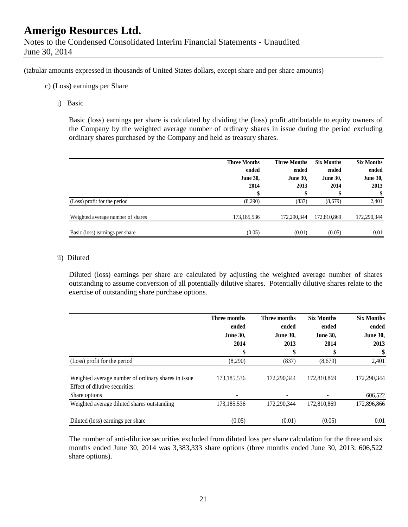(tabular amounts expressed in thousands of United States dollars, except share and per share amounts)

- c) (Loss) earnings per Share
	- i) Basic

Basic (loss) earnings per share is calculated by dividing the (loss) profit attributable to equity owners of the Company by the weighted average number of ordinary shares in issue during the period excluding ordinary shares purchased by the Company and held as treasury shares.

|                                   | <b>Three Months</b><br>ended<br><b>June 30,</b><br>2014 | <b>Three Months</b><br>ended<br><b>June 30,</b><br>2013 | <b>Six Months</b><br>ended<br><b>June 30,</b><br>2014 | <b>Six Months</b><br>ended<br><b>June 30,</b><br>2013<br>\$ |
|-----------------------------------|---------------------------------------------------------|---------------------------------------------------------|-------------------------------------------------------|-------------------------------------------------------------|
| (Loss) profit for the period      | (8,290)                                                 | (837)                                                   | (8,679)                                               | 2,401                                                       |
| Weighted average number of shares | 173,185,536                                             | 172.290.344                                             | 172,810,869                                           | 172,290,344                                                 |
| Basic (loss) earnings per share   | (0.05)                                                  | (0.01)                                                  | (0.05)                                                | 0.01                                                        |

#### ii) Diluted

Diluted (loss) earnings per share are calculated by adjusting the weighted average number of shares outstanding to assume conversion of all potentially dilutive shares. Potentially dilutive shares relate to the exercise of outstanding share purchase options.

|                                                                                       | <b>Three months</b><br>ended<br><b>June 30,</b> | Three months<br>ended<br><b>June 30,</b> | <b>Six Months</b><br>ended<br><b>June 30,</b> | <b>Six Months</b><br>ended<br><b>June 30,</b> |
|---------------------------------------------------------------------------------------|-------------------------------------------------|------------------------------------------|-----------------------------------------------|-----------------------------------------------|
|                                                                                       | 2014                                            | 2013                                     | 2014                                          | 2013                                          |
|                                                                                       | \$                                              | \$                                       |                                               | \$                                            |
| (Loss) profit for the period                                                          | (8,290)                                         | (837)                                    | (8,679)                                       | 2,401                                         |
| Weighted average number of ordinary shares in issue<br>Effect of dilutive securities: | 173,185,536                                     | 172,290,344                              | 172,810,869                                   | 172.290.344                                   |
| Share options                                                                         |                                                 |                                          |                                               | 606,522                                       |
| Weighted average diluted shares outstanding                                           | 173, 185, 536                                   | 172,290,344                              | 172,810,869                                   | 172,896,866                                   |
| Diluted (loss) earnings per share                                                     | (0.05)                                          | (0.01)                                   | (0.05)                                        | 0.01                                          |

The number of anti-dilutive securities excluded from diluted loss per share calculation for the three and six months ended June 30, 2014 was 3,383,333 share options (three months ended June 30, 2013: 606,522 share options).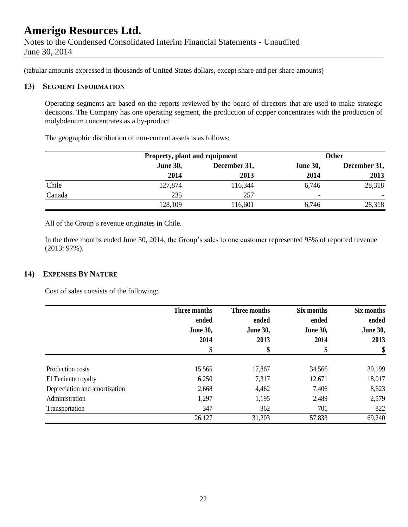(tabular amounts expressed in thousands of United States dollars, except share and per share amounts)

### **13) SEGMENT INFORMATION**

Operating segments are based on the reports reviewed by the board of directors that are used to make strategic decisions. The Company has one operating segment, the production of copper concentrates with the production of molybdenum concentrates as a by-product.

The geographic distribution of non-current assets is as follows:

|        |                 | Property, plant and equipment |                          | <b>Other</b>             |
|--------|-----------------|-------------------------------|--------------------------|--------------------------|
|        | <b>June 30,</b> | December 31,                  |                          | December 31,             |
|        | 2014            | 2013                          | 2014                     | 2013                     |
| Chile  | 127,874         | 116,344                       | 6,746                    | 28,318                   |
| Canada | 235             | 257                           | $\overline{\phantom{0}}$ | $\overline{\phantom{0}}$ |
|        | 128,109         | 116,601                       | 6,746                    | 28,318                   |

All of the Group's revenue originates in Chile.

In the three months ended June 30, 2014, the Group's sales to one customer represented 95% of reported revenue (2013: 97%).

### **14) EXPENSES BY NATURE**

Cost of sales consists of the following:

|                               | Three months<br>ended | Three months<br>ended | Six months<br>ended | Six months<br>ended |
|-------------------------------|-----------------------|-----------------------|---------------------|---------------------|
|                               | <b>June 30,</b>       | <b>June 30,</b>       | <b>June 30,</b>     | <b>June 30,</b>     |
|                               | 2014                  | 2013                  | 2014                | 2013                |
|                               | \$                    | \$                    | \$                  | \$                  |
| Production costs              | 15,565                | 17,867                | 34,566              | 39,199              |
| El Teniente royalty           | 6,250                 | 7,317                 | 12,671              | 18,017              |
| Depreciation and amortization | 2,668                 | 4,462                 | 7,406               | 8,623               |
| Administration                | 1,297                 | 1,195                 | 2,489               | 2,579               |
| Transportation                | 347                   | 362                   | 701                 | 822                 |
|                               | 26,127                | 31,203                | 57,833              | 69,240              |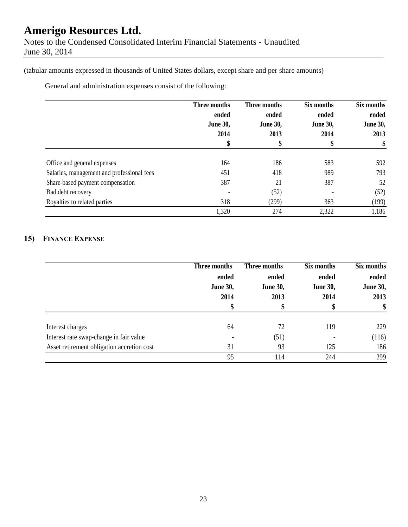(tabular amounts expressed in thousands of United States dollars, except share and per share amounts)

General and administration expenses consist of the following:

|                                            | Three months<br>ended<br><b>June 30,</b><br>2014<br>\$ | Three months<br>ended<br><b>June 30,</b><br>2013<br>\$ | Six months<br>ended<br><b>June 30,</b><br>2014 | Six months<br>ended<br><b>June 30,</b><br>2013<br>\$ |
|--------------------------------------------|--------------------------------------------------------|--------------------------------------------------------|------------------------------------------------|------------------------------------------------------|
|                                            |                                                        |                                                        |                                                |                                                      |
|                                            |                                                        |                                                        |                                                |                                                      |
|                                            |                                                        |                                                        |                                                |                                                      |
|                                            |                                                        |                                                        |                                                |                                                      |
| Office and general expenses                | 164                                                    | 186                                                    | 583                                            | 592                                                  |
| Salaries, management and professional fees | 451                                                    | 418                                                    | 989                                            | 793                                                  |
| Share-based payment compensation           | 387                                                    | 21                                                     | 387                                            | 52                                                   |
| Bad debt recovery                          |                                                        | (52)                                                   |                                                | (52)                                                 |
| Royalties to related parties               | 318                                                    | (299)                                                  | 363                                            | (199)                                                |
|                                            | 1,320                                                  | 274                                                    | 2,322                                          | 1,186                                                |

## **15) FINANCE EXPENSE**

|                                            | Three months<br>ended<br><b>June 30,</b><br>2014<br>S | Three months<br>ended<br><b>June 30,</b><br>2013 | Six months<br>ended<br><b>June 30,</b><br>2014 | Six months<br>ended<br><b>June 30,</b><br>2013<br>\$ |
|--------------------------------------------|-------------------------------------------------------|--------------------------------------------------|------------------------------------------------|------------------------------------------------------|
|                                            |                                                       |                                                  |                                                |                                                      |
|                                            |                                                       |                                                  |                                                |                                                      |
|                                            |                                                       |                                                  |                                                |                                                      |
|                                            | 64                                                    | 72                                               | 119                                            | 229                                                  |
| Interest charges                           |                                                       |                                                  |                                                |                                                      |
| Interest rate swap-change in fair value    |                                                       | (51)                                             |                                                | (116)                                                |
| Asset retirement obligation accretion cost | 31                                                    | 93                                               | 125                                            | 186                                                  |
|                                            | 95                                                    | 114                                              | 244                                            | 299                                                  |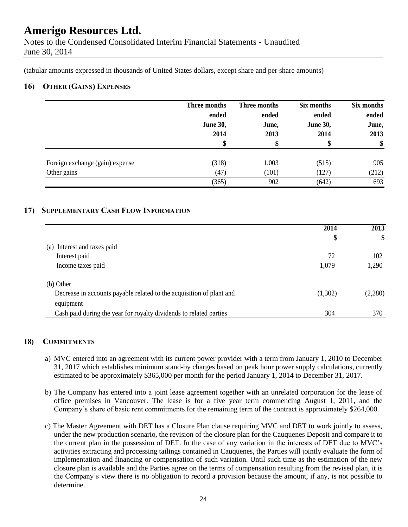Notes to the Condensed Consolidated Interim Financial Statements - Unaudited June 30, 2014

(tabular amounts expressed in thousands of United States dollars, except share and per share amounts)

### **16) OTHER (GAINS) EXPENSES**

|                                 | Three months<br>ended<br><b>June 30,</b><br>2014 | Three months<br>ended<br>June,<br>2013 | Six months<br>ended<br><b>June 30,</b><br>2014 | Six months<br>ended<br>June,<br>2013<br>\$ |
|---------------------------------|--------------------------------------------------|----------------------------------------|------------------------------------------------|--------------------------------------------|
| Foreign exchange (gain) expense | (318)                                            | 1,003                                  | (515)                                          | 905                                        |
| Other gains                     | (47)                                             | (101)                                  | (127)                                          | (212)                                      |
|                                 | (365)                                            | 902                                    | (642)                                          | 693                                        |

## **17) SUPPLEMENTARY CASH FLOW INFORMATION**

|                                                                      | 2014    | 2013    |
|----------------------------------------------------------------------|---------|---------|
|                                                                      | \$      | \$      |
| Interest and taxes paid<br>(a)                                       |         |         |
| Interest paid                                                        | 72      | 102     |
| Income taxes paid                                                    | 1,079   | 1,290   |
| (b) Other                                                            |         |         |
| Decrease in accounts payable related to the acquisition of plant and | (1,302) | (2,280) |
| equipment                                                            |         |         |
| Cash paid during the year for royalty dividends to related parties   | 304     | 370     |

### **18) COMMITMENTS**

- a) MVC entered into an agreement with its current power provider with a term from January 1, 2010 to December 31, 2017 which establishes minimum stand-by charges based on peak hour power supply calculations, currently estimated to be approximately \$365,000 per month for the period January 1, 2014 to December 31, 2017.
- b) The Company has entered into a joint lease agreement together with an unrelated corporation for the lease of office premises in Vancouver. The lease is for a five year term commencing August 1, 2011, and the Company's share of basic rent commitments for the remaining term of the contract is approximately \$264,000.
- c) The Master Agreement with DET has a Closure Plan clause requiring MVC and DET to work jointly to assess, under the new production scenario, the revision of the closure plan for the Cauquenes Deposit and compare it to the current plan in the possession of DET. In the case of any variation in the interests of DET due to MVC's activities extracting and processing tailings contained in Cauquenes, the Parties will jointly evaluate the form of implementation and financing or compensation of such variation. Until such time as the estimation of the new closure plan is available and the Parties agree on the terms of compensation resulting from the revised plan, it is the Company's view there is no obligation to record a provision because the amount, if any, is not possible to determine.